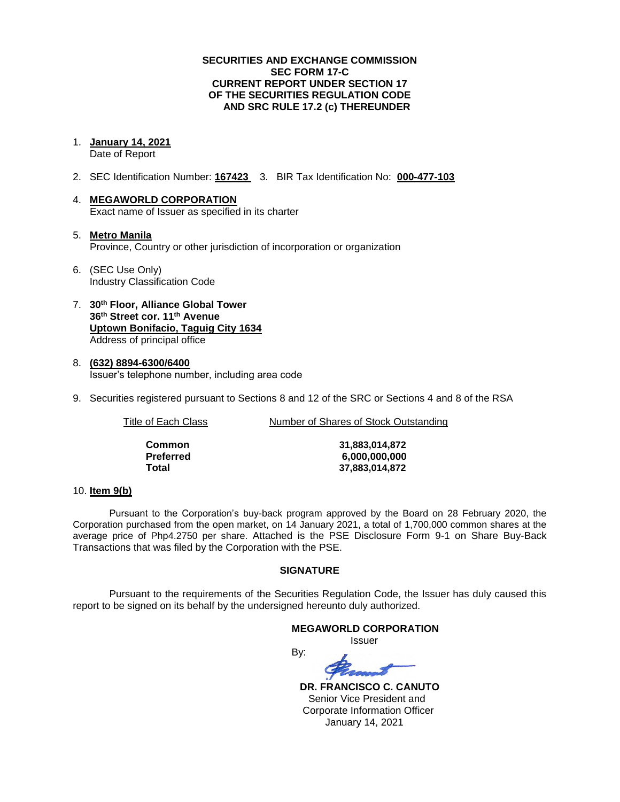## **SECURITIES AND EXCHANGE COMMISSION SEC FORM 17-C CURRENT REPORT UNDER SECTION 17 OF THE SECURITIES REGULATION CODE AND SRC RULE 17.2 (c) THEREUNDER**

#### 1. **January 14, 2021** Date of Report

- 2. SEC Identification Number: **167423** 3. BIR Tax Identification No: **000-477-103**
- 4. **MEGAWORLD CORPORATION** Exact name of Issuer as specified in its charter
- 5. **Metro Manila** Province, Country or other jurisdiction of incorporation or organization
- 6. (SEC Use Only) Industry Classification Code
- 7. **30th Floor, Alliance Global Tower 36th Street cor. 11th Avenue Uptown Bonifacio, Taguig City 1634** Address of principal office
- 8. **(632) 8894-6300/6400** Issuer's telephone number, including area code
- 9. Securities registered pursuant to Sections 8 and 12 of the SRC or Sections 4 and 8 of the RSA

Title of Each Class **Number of Shares of Stock Outstanding** 

| Common    |
|-----------|
| Preferred |
| Total     |

**Common 31,883,014,872 Preferred 6,000,000,000 Total 37,883,014,872**

### 10. **Item 9(b)**

Pursuant to the Corporation's buy-back program approved by the Board on 28 February 2020, the Corporation purchased from the open market, on 14 January 2021, a total of 1,700,000 common shares at the average price of Php4.2750 per share. Attached is the PSE Disclosure Form 9-1 on Share Buy-Back Transactions that was filed by the Corporation with the PSE.

## **SIGNATURE**

Pursuant to the requirements of the Securities Regulation Code, the Issuer has duly caused this report to be signed on its behalf by the undersigned hereunto duly authorized.

### **MEGAWORLD CORPORATION**

Issuer

By:

 **DR. FRANCISCO C. CANUTO** Senior Vice President and Corporate Information Officer January 14, 2021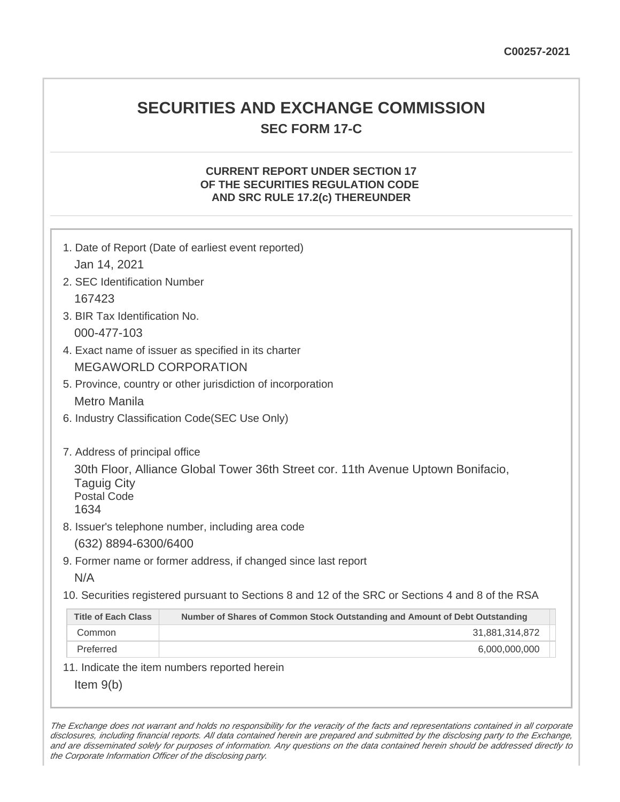## **SECURITIES AND EXCHANGE COMMISSION SEC FORM 17-C**

## **CURRENT REPORT UNDER SECTION 17 OF THE SECURITIES REGULATION CODE AND SRC RULE 17.2(c) THEREUNDER**

| Jan 14, 2021                                                                       | 1. Date of Report (Date of earliest event reported)                                                                                   |
|------------------------------------------------------------------------------------|---------------------------------------------------------------------------------------------------------------------------------------|
| 2. SEC Identification Number                                                       |                                                                                                                                       |
| 167423                                                                             |                                                                                                                                       |
| 3. BIR Tax Identification No.                                                      |                                                                                                                                       |
| 000-477-103                                                                        |                                                                                                                                       |
|                                                                                    | 4. Exact name of issuer as specified in its charter                                                                                   |
|                                                                                    | <b>MEGAWORLD CORPORATION</b>                                                                                                          |
|                                                                                    | 5. Province, country or other jurisdiction of incorporation                                                                           |
| Metro Manila                                                                       |                                                                                                                                       |
|                                                                                    | 6. Industry Classification Code(SEC Use Only)                                                                                         |
| 7. Address of principal office<br><b>Taguig City</b><br><b>Postal Code</b><br>1634 | 30th Floor, Alliance Global Tower 36th Street cor. 11th Avenue Uptown Bonifacio,<br>8. Issuer's telephone number, including area code |
| (632) 8894-6300/6400                                                               |                                                                                                                                       |
|                                                                                    | 9. Former name or former address, if changed since last report                                                                        |
| N/A                                                                                |                                                                                                                                       |
|                                                                                    | 10. Securities registered pursuant to Sections 8 and 12 of the SRC or Sections 4 and 8 of the RSA                                     |
| <b>Title of Each Class</b>                                                         | Number of Shares of Common Stock Outstanding and Amount of Debt Outstanding                                                           |
| Common                                                                             | 31,881,314,872                                                                                                                        |
| Preferred                                                                          | 6,000,000,000                                                                                                                         |
|                                                                                    | 11. Indicate the item numbers reported herein                                                                                         |
| Item $9(b)$                                                                        |                                                                                                                                       |

The Exchange does not warrant and holds no responsibility for the veracity of the facts and representations contained in all corporate disclosures, including financial reports. All data contained herein are prepared and submitted by the disclosing party to the Exchange, and are disseminated solely for purposes of information. Any questions on the data contained herein should be addressed directly to the Corporate Information Officer of the disclosing party.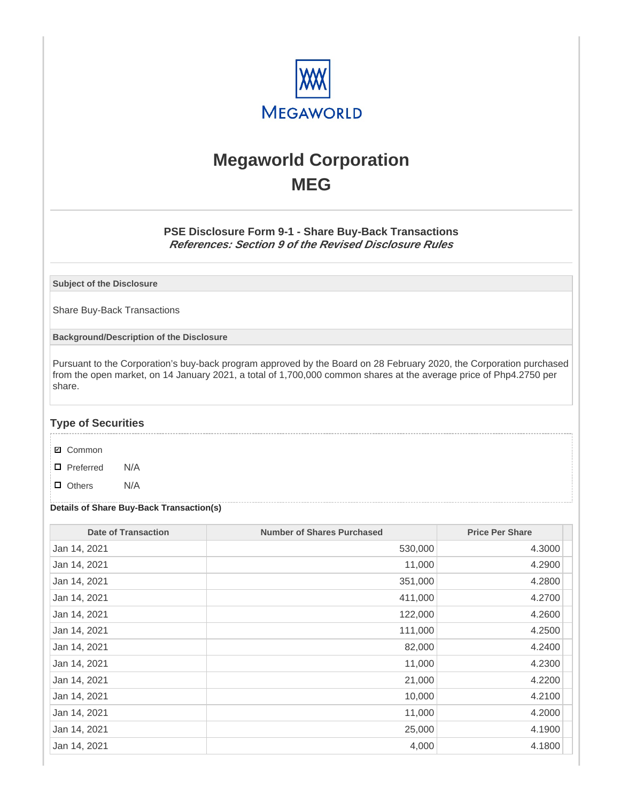

# **Megaworld Corporation MEG**

## **PSE Disclosure Form 9-1 - Share Buy-Back Transactions References: Section 9 of the Revised Disclosure Rules**

**Subject of the Disclosure**

Share Buy-Back Transactions

**Background/Description of the Disclosure**

Pursuant to the Corporation's buy-back program approved by the Board on 28 February 2020, the Corporation purchased from the open market, on 14 January 2021, a total of 1,700,000 common shares at the average price of Php4.2750 per share.

## **Type of Securities**

- **☑** Common
- □ Preferred N/A
- D Others N/A

## **Details of Share Buy-Back Transaction(s)**

| <b>Date of Transaction</b> | <b>Number of Shares Purchased</b> | <b>Price Per Share</b> |
|----------------------------|-----------------------------------|------------------------|
| Jan 14, 2021               | 530,000                           | 4.3000                 |
| Jan 14, 2021               | 11,000                            | 4.2900                 |
| Jan 14, 2021               | 351,000                           | 4.2800                 |
| Jan 14, 2021               | 411,000                           | 4.2700                 |
| Jan 14, 2021               | 122,000                           | 4.2600                 |
| Jan 14, 2021               | 111,000                           | 4.2500                 |
| Jan 14, 2021               | 82,000                            | 4.2400                 |
| Jan 14, 2021               | 11,000                            | 4.2300                 |
| Jan 14, 2021               | 21,000                            | 4.2200                 |
| Jan 14, 2021               | 10,000                            | 4.2100                 |
| Jan 14, 2021               | 11,000                            | 4.2000                 |
| Jan 14, 2021               | 25,000                            | 4.1900                 |
| Jan 14, 2021               | 4,000                             | 4.1800                 |